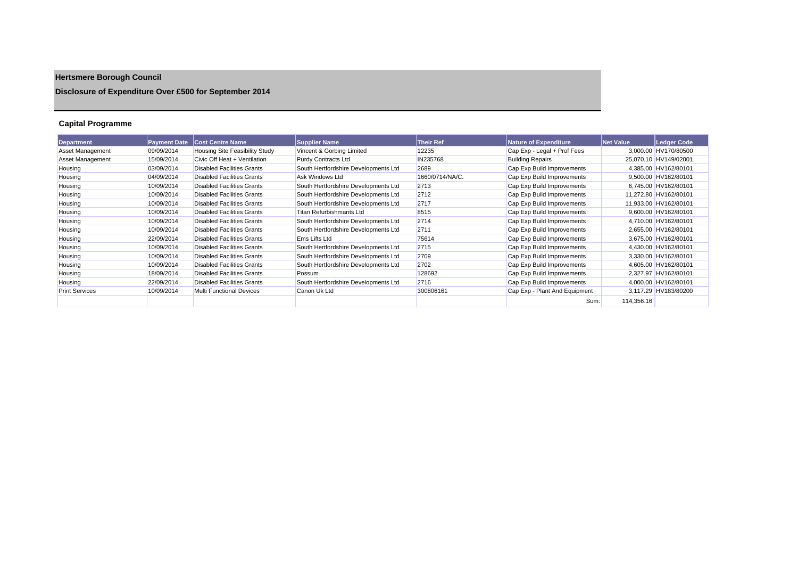# **Hertsmere Borough Council**

## **Disclosure of Expenditure Over £500 for September 2014**

## **Capital Programme**

| Department              | <b>Payment Date</b> | <b>Cost Centre Name</b>           | <b>Supplier Name</b>                 | <b>Their Ref</b> | <b>Nature of Expenditure</b>  | <b>Net Value</b> | Ledger Code           |
|-------------------------|---------------------|-----------------------------------|--------------------------------------|------------------|-------------------------------|------------------|-----------------------|
| <b>Asset Management</b> | 09/09/2014          | Housing Site Feasibility Study    | Vincent & Gorbing Limited            | 12235            | Cap Exp - Legal + Prof Fees   |                  | 3.000.00 HV170/80500  |
| Asset Management        | 15/09/2014          | Civic Off Heat + Ventilation      | Purdy Contracts Ltd                  | IN235768         | <b>Building Repairs</b>       |                  | 25,070.10 HV149/02001 |
| Housing                 | 03/09/2014          | <b>Disabled Facilities Grants</b> | South Hertfordshire Developments Ltd | 2689             | Cap Exp Build Improvements    |                  | 4,385.00 HV162/80101  |
| Housing                 | 04/09/2014          | <b>Disabled Facilities Grants</b> | Ask Windows Ltd                      | 1660/0714/NA/C.  | Cap Exp Build Improvements    |                  | 9,500.00 HV162/80101  |
| Housing                 | 10/09/2014          | <b>Disabled Facilities Grants</b> | South Hertfordshire Developments Ltd | 2713             | Cap Exp Build Improvements    |                  | 6,745.00 HV162/80101  |
| Housing                 | 10/09/2014          | <b>Disabled Facilities Grants</b> | South Hertfordshire Developments Ltd | 2712             | Cap Exp Build Improvements    |                  | 11,272.80 HV162/80101 |
| Housing                 | 10/09/2014          | <b>Disabled Facilities Grants</b> | South Hertfordshire Developments Ltd | 2717             | Cap Exp Build Improvements    |                  | 11,933.00 HV162/80101 |
| Housing                 | 10/09/2014          | <b>Disabled Facilities Grants</b> | Titan Refurbishmants Ltd             | 8515             | Cap Exp Build Improvements    |                  | 9,600.00 HV162/80101  |
| Housing                 | 10/09/2014          | <b>Disabled Facilities Grants</b> | South Hertfordshire Developments Ltd | 2714             | Cap Exp Build Improvements    |                  | 4,710.00 HV162/80101  |
| Housing                 | 10/09/2014          | <b>Disabled Facilities Grants</b> | South Hertfordshire Developments Ltd | 2711             | Cap Exp Build Improvements    |                  | 2.655.00 HV162/80101  |
| Housing                 | 22/09/2014          | <b>Disabled Facilities Grants</b> | Ems Lifts Ltd                        | 75614            | Cap Exp Build Improvements    |                  | 3.675.00 HV162/80101  |
| Housing                 | 10/09/2014          | <b>Disabled Facilities Grants</b> | South Hertfordshire Developments Ltd | 2715             | Cap Exp Build Improvements    |                  | 4.430.00 HV162/80101  |
| Housing                 | 10/09/2014          | <b>Disabled Facilities Grants</b> | South Hertfordshire Developments Ltd | 2709             | Cap Exp Build Improvements    |                  | 3,330.00 HV162/80101  |
| Housing                 | 10/09/2014          | <b>Disabled Facilities Grants</b> | South Hertfordshire Developments Ltd | 2702             | Cap Exp Build Improvements    |                  | 4,605.00 HV162/80101  |
| Housing                 | 18/09/2014          | <b>Disabled Facilities Grants</b> | Possum                               | 128692           | Cap Exp Build Improvements    |                  | 2,327.97 HV162/80101  |
| Housing                 | 22/09/2014          | <b>Disabled Facilities Grants</b> | South Hertfordshire Developments Ltd | 2716             | Cap Exp Build Improvements    |                  | 4,000.00 HV162/80101  |
| <b>Print Services</b>   | 10/09/2014          | Multi Functional Devices          | Canon Uk Ltd                         | 300806161        | Cap Exp - Plant And Equipment |                  | 3,117.29 HV183/80200  |
|                         |                     |                                   |                                      |                  | Sum:                          | 114,356.16       |                       |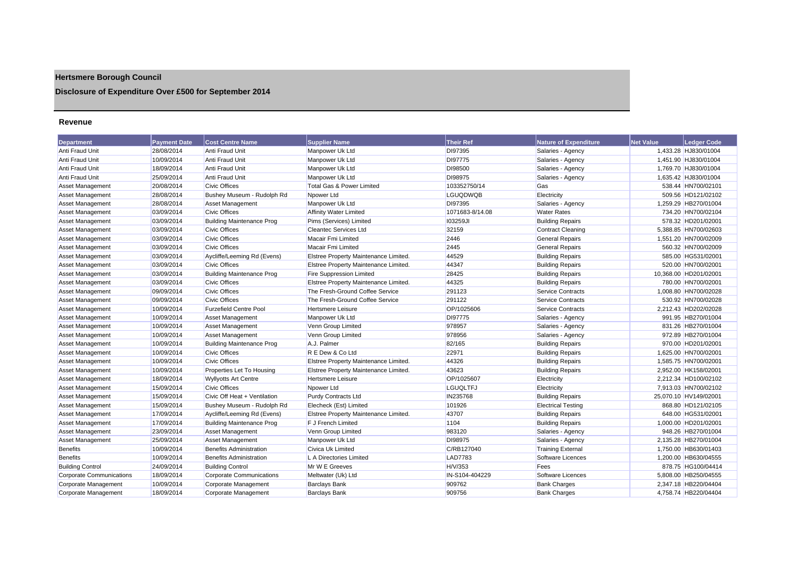## **Hertsmere Borough Council**

## **Disclosure of Expenditure Over £500 for September 2014**

#### **Revenue**

| <b>Department</b>               | <b>Payment Date</b> | <b>Cost Centre Name</b>          | <b>Supplier Name</b>                  | <b>Their Ref</b> | <b>Nature of Expenditure</b> | <b>Net Value</b> | <b>Ledger Code</b>    |
|---------------------------------|---------------------|----------------------------------|---------------------------------------|------------------|------------------------------|------------------|-----------------------|
| Anti Fraud Unit                 | 28/08/2014          | Anti Fraud Unit                  | Manpower Uk Ltd                       | DI97395          | Salaries - Agency            |                  | 1,433.28 HJ830/01004  |
| Anti Fraud Unit                 | 10/09/2014          | Anti Fraud Unit                  | Manpower Uk Ltd                       | DI97775          | Salaries - Agency            |                  | 1.451.90 HJ830/01004  |
| Anti Fraud Unit                 | 18/09/2014          | Anti Fraud Unit                  | Manpower Uk Ltd                       | DI98500          | Salaries - Agency            |                  | 1,769.70 HJ830/01004  |
| Anti Fraud Unit                 | 25/09/2014          | Anti Fraud Unit                  | Manpower Uk Ltd                       | DI98975          | Salaries - Agency            |                  | 1.635.42 HJ830/01004  |
| Asset Management                | 20/08/2014          | <b>Civic Offices</b>             | <b>Total Gas &amp; Power Limited</b>  | 103352750/14     | Gas                          |                  | 538.44 HN700/02101    |
| Asset Management                | 28/08/2014          | Bushey Museum - Rudolph Rd       | Npower Ltd                            | <b>LGUQDWQB</b>  | Electricity                  |                  | 509.56 HD121/02102    |
| <b>Asset Management</b>         | 28/08/2014          | Asset Management                 | Manpower Uk Ltd                       | DI97395          | Salaries - Agency            |                  | 1,259.29 HB270/01004  |
| <b>Asset Management</b>         | 03/09/2014          | <b>Civic Offices</b>             | <b>Affinity Water Limited</b>         | 1071683-8/14.08  | <b>Water Rates</b>           |                  | 734.20 HN700/02104    |
| Asset Management                | 03/09/2014          | <b>Building Maintenance Prog</b> | Pims (Services) Limited               | <b>103259JI</b>  | <b>Building Repairs</b>      |                  | 578.32 HD201/02001    |
| <b>Asset Management</b>         | 03/09/2014          | <b>Civic Offices</b>             | <b>Cleantec Services Ltd</b>          | 32159            | <b>Contract Cleaning</b>     |                  | 5,388.85 HN700/02603  |
| <b>Asset Management</b>         | 03/09/2014          | <b>Civic Offices</b>             | Macair Fmi Limited                    | 2446             | <b>General Repairs</b>       |                  | 1,551.20 HN700/02009  |
| <b>Asset Management</b>         | 03/09/2014          | <b>Civic Offices</b>             | Macair Fmi Limited                    | 2445             | <b>General Repairs</b>       |                  | 560.32 HN700/02009    |
| <b>Asset Management</b>         | 03/09/2014          | Aycliffe/Leeming Rd (Evens)      | Elstree Property Maintenance Limited. | 44529            | <b>Building Repairs</b>      |                  | 585.00 HG531/02001    |
| Asset Management                | 03/09/2014          | <b>Civic Offices</b>             | Elstree Property Maintenance Limited. | 44347            | <b>Building Repairs</b>      |                  | 520.00 HN700/02001    |
| Asset Management                | 03/09/2014          | <b>Building Maintenance Prog</b> | <b>Fire Suppression Limited</b>       | 28425            | <b>Building Repairs</b>      |                  | 10,368.00 HD201/02001 |
| <b>Asset Management</b>         | 03/09/2014          | <b>Civic Offices</b>             | Elstree Property Maintenance Limited. | 44325            | <b>Building Repairs</b>      |                  | 780.00 HN700/02001    |
| <b>Asset Management</b>         | 09/09/2014          | <b>Civic Offices</b>             | The Fresh-Ground Coffee Service       | 291123           | <b>Service Contracts</b>     |                  | 1,008.80 HN700/02028  |
| <b>Asset Management</b>         | 09/09/2014          | <b>Civic Offices</b>             | The Fresh-Ground Coffee Service       | 291122           | <b>Service Contracts</b>     |                  | 530.92 HN700/02028    |
| Asset Management                | 10/09/2014          | <b>Furzefield Centre Pool</b>    | <b>Hertsmere Leisure</b>              | OP/1025606       | Service Contracts            |                  | 2.212.43 HD202/02028  |
| <b>Asset Management</b>         | 10/09/2014          | Asset Management                 | Manpower Uk Ltd                       | DI97775          | Salaries - Agency            |                  | 991.95 HB270/01004    |
| Asset Management                | 10/09/2014          | <b>Asset Management</b>          | Venn Group Limited                    | 978957           | Salaries - Agency            |                  | 831.26 HB270/01004    |
| <b>Asset Management</b>         | 10/09/2014          | <b>Asset Management</b>          | Venn Group Limited                    | 978956           | Salaries - Agency            |                  | 972.89 HB270/01004    |
| Asset Management                | 10/09/2014          | <b>Building Maintenance Prog</b> | A.J. Palmer                           | 82/165           | <b>Building Repairs</b>      |                  | 970.00 HD201/02001    |
| Asset Management                | 10/09/2014          | <b>Civic Offices</b>             | R E Dew & Co Ltd                      | 22971            | <b>Building Repairs</b>      |                  | 1,625.00 HN700/02001  |
| Asset Management                | 10/09/2014          | <b>Civic Offices</b>             | Elstree Property Maintenance Limited. | 44326            | <b>Building Repairs</b>      |                  | 1,585.75 HN700/02001  |
| Asset Management                | 10/09/2014          | Properties Let To Housing        | Elstree Property Maintenance Limited. | 43623            | <b>Building Repairs</b>      |                  | 2,952.00 HK158/02001  |
| Asset Management                | 18/09/2014          | <b>Wyllyotts Art Centre</b>      | <b>Hertsmere Leisure</b>              | OP/1025607       | Electricity                  |                  | 2,212.34 HD100/02102  |
| Asset Management                | 15/09/2014          | <b>Civic Offices</b>             | Npower Ltd                            | <b>LGUQLTFJ</b>  | Electricity                  |                  | 7,913.03 HN700/02102  |
| <b>Asset Management</b>         | 15/09/2014          | Civic Off Heat + Ventilation     | <b>Purdy Contracts Ltd</b>            | IN235768         | <b>Building Repairs</b>      |                  | 25,070.10 HV149/02001 |
| <b>Asset Management</b>         | 15/09/2014          | Bushey Museum - Rudolph Rd       | Elecheck (Est) Limited                | 101926           | <b>Electrical Testing</b>    |                  | 868.80 HD121/02105    |
| Asset Management                | 17/09/2014          | Aycliffe/Leeming Rd (Evens)      | Elstree Property Maintenance Limited. | 43707            | <b>Building Repairs</b>      |                  | 648.00 HG531/02001    |
| Asset Management                | 17/09/2014          | <b>Building Maintenance Prog</b> | F J French Limited                    | 1104             | <b>Building Repairs</b>      |                  | 1,000.00 HD201/02001  |
| <b>Asset Management</b>         | 23/09/2014          | Asset Management                 | Venn Group Limited                    | 983120           | Salaries - Agency            |                  | 948.26 HB270/01004    |
| Asset Management                | 25/09/2014          | Asset Management                 | Manpower Uk Ltd                       | DI98975          | Salaries - Agency            |                  | 2,135.28 HB270/01004  |
| <b>Benefits</b>                 | 10/09/2014          | <b>Benefits Administration</b>   | Civica Uk Limited                     | C/RB127040       | <b>Training External</b>     |                  | 1,750.00 HB630/01403  |
| Benefits                        | 10/09/2014          | <b>Benefits Administration</b>   | L A Directories Limited               | <b>LAD7783</b>   | Software Licences            |                  | 1.200.00 HB630/04555  |
| <b>Building Control</b>         | 24/09/2014          | <b>Building Control</b>          | Mr W E Greeves                        | H/V/353          | Fees                         |                  | 878.75 HG100/04414    |
| <b>Corporate Communications</b> | 18/09/2014          | Corporate Communications         | Meltwater (Uk) Ltd                    | IN-S104-404229   | Software Licences            |                  | 5,808.00 HB250/04555  |
| Corporate Management            | 10/09/2014          | Corporate Management             | <b>Barclays Bank</b>                  | 909762           | <b>Bank Charges</b>          |                  | 2.347.18 HB220/04404  |
| Corporate Management            | 18/09/2014          | Corporate Management             | <b>Barclays Bank</b>                  | 909756           | <b>Bank Charges</b>          |                  | 4.758.74 HB220/04404  |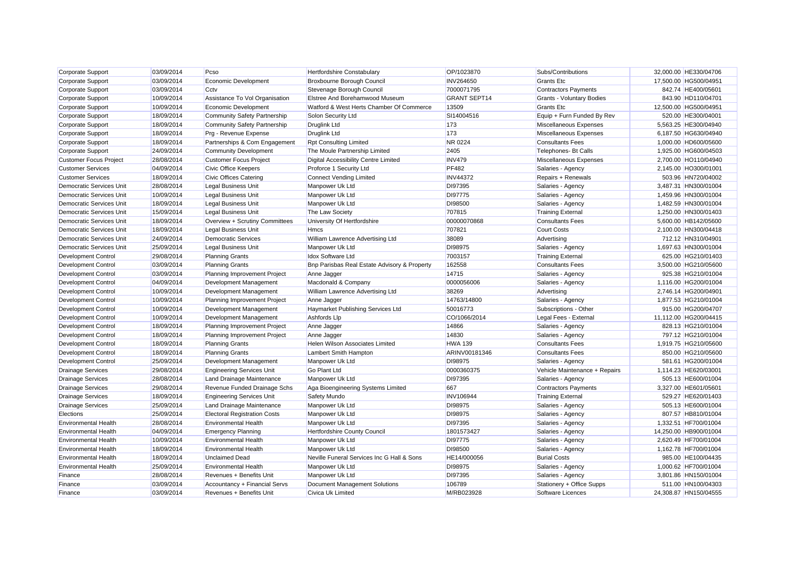| Corporate Support               | 03/09/2014 | Pcso                                | Hertfordshire Constabulary                   | OP/1023870          | Subs/Contributions               | 32,000.00 HE330/04706 |
|---------------------------------|------------|-------------------------------------|----------------------------------------------|---------------------|----------------------------------|-----------------------|
| Corporate Support               | 03/09/2014 | <b>Economic Development</b>         | Broxbourne Borough Council                   | <b>INV264650</b>    | <b>Grants Etc.</b>               | 17,500.00 HG500/04951 |
| <b>Corporate Support</b>        | 03/09/2014 | Cctv                                | Stevenage Borough Council                    | 7000071795          | <b>Contractors Payments</b>      | 842.74 HE400/05601    |
| Corporate Support               | 10/09/2014 | Assistance To Vol Organisation      | Elstree And Borehamwood Museum               | <b>GRANT SEPT14</b> | <b>Grants - Voluntary Bodies</b> | 843.90 HD110/04701    |
| Corporate Support               | 10/09/2014 | <b>Economic Development</b>         | Watford & West Herts Chamber Of Commerce     | 13509               | Grants Etc                       | 12,500.00 HG500/04951 |
| Corporate Support               | 18/09/2014 | <b>Community Safety Partnership</b> | Solon Security Ltd                           | SI14004516          | Equip + Furn Funded By Rev       | 520.00 HE300/04001    |
| <b>Corporate Support</b>        | 18/09/2014 | <b>Community Safety Partnership</b> | <b>Druglink Ltd</b>                          | 173                 | Miscellaneous Expenses           | 5.563.25 HE300/04940  |
| Corporate Support               | 18/09/2014 | Prg - Revenue Expense               | <b>Druglink Ltd</b>                          | 173                 | Miscellaneous Expenses           | 6,187.50 HG630/04940  |
| Corporate Support               | 18/09/2014 | Partnerships & Com Engagement       | <b>Rpt Consulting Limited</b>                | <b>NR 0224</b>      | <b>Consultants Fees</b>          | 1,000.00 HD600/05600  |
| Corporate Support               | 24/09/2014 | <b>Community Development</b>        | The Moule Partnership Limited                | 2405                | Telephones- Bt Calls             | 1,925.00 HG600/04503  |
| <b>Customer Focus Project</b>   | 28/08/2014 | <b>Customer Focus Project</b>       | Digital Accessibility Centre Limited         | <b>INV479</b>       | Miscellaneous Expenses           | 2,700.00 HO110/04940  |
| <b>Customer Services</b>        | 04/09/2014 | <b>Civic Office Keepers</b>         | Proforce 1 Security Ltd                      | <b>PF482</b>        | Salaries - Agency                | 2,145.00 HO300/01001  |
| <b>Customer Services</b>        | 18/09/2014 | Civic Offices Catering              | <b>Connect Vending Limited</b>               | <b>INV44372</b>     | Repairs + Renewals               | 503.96 HN720/04002    |
| <b>Democratic Services Unit</b> | 28/08/2014 | <b>Legal Business Unit</b>          | Manpower Uk Ltd                              | DI97395             | Salaries - Agency                | 3.487.31 HN300/01004  |
| Democratic Services Unit        | 10/09/2014 | <b>Legal Business Unit</b>          | Manpower Uk Ltd                              | DI97775             | Salaries - Agency                | 1,459.96 HN300/01004  |
| Democratic Services Unit        | 18/09/2014 | Legal Business Unit                 | Manpower Uk Ltd                              | DI98500             | Salaries - Agency                | 1,482.59 HN300/01004  |
| <b>Democratic Services Unit</b> | 15/09/2014 | <b>Legal Business Unit</b>          | The Law Society                              | 707815              | <b>Training External</b>         | 1,250.00 HN300/01403  |
| <b>Democratic Services Unit</b> | 18/09/2014 | Overview + Scrutiny Committees      | University Of Hertfordshire                  | 00000070868         | <b>Consultants Fees</b>          | 5,600.00 HB142/05600  |
| <b>Democratic Services Unit</b> | 18/09/2014 | <b>Legal Business Unit</b>          | <b>Hmcs</b>                                  | 707821              | <b>Court Costs</b>               | 2,100.00 HN300/04418  |
| <b>Democratic Services Unit</b> | 24/09/2014 | <b>Democratic Services</b>          | William Lawrence Advertising Ltd             | 38089               | Advertising                      | 712.12 HN310/04901    |
| <b>Democratic Services Unit</b> | 25/09/2014 | <b>Legal Business Unit</b>          | Manpower Uk Ltd                              | DI98975             | Salaries - Agency                | 1.697.63 HN300/01004  |
| <b>Development Control</b>      | 29/08/2014 | <b>Planning Grants</b>              | <b>Idox Software Ltd</b>                     | 7003157             | <b>Training External</b>         | 625.00 HG210/01403    |
| Development Control             | 03/09/2014 | <b>Planning Grants</b>              | Bnp Parisbas Real Estate Advisory & Property | 162558              | <b>Consultants Fees</b>          | 3,500.00 HG210/05600  |
| <b>Development Control</b>      | 03/09/2014 | Planning Improvement Project        | Anne Jagger                                  | 14715               | Salaries - Agency                | 925.38 HG210/01004    |
| Development Control             | 04/09/2014 | Development Management              | Macdonald & Company                          | 0000056006          | Salaries - Agency                | 1,116.00 HG200/01004  |
| Development Control             | 10/09/2014 | Development Management              | William Lawrence Advertising Ltd             | 38269               | Advertising                      | 2,746.14 HG200/04901  |
| <b>Development Control</b>      | 10/09/2014 | Planning Improvement Project        | Anne Jagger                                  | 14763/14800         | Salaries - Agency                | 1,877.53 HG210/01004  |
| <b>Development Control</b>      | 10/09/2014 | Development Management              | Haymarket Publishing Services Ltd            | 50016773            | Subscriptions - Other            | 915.00 HG200/04707    |
| <b>Development Control</b>      | 10/09/2014 | Development Management              | Ashfords Llp                                 | CO/1066/2014        | Legal Fees - External            | 11,112.00 HG200/04415 |
| <b>Development Control</b>      | 18/09/2014 | Planning Improvement Project        | Anne Jagger                                  | 14866               | Salaries - Agency                | 828.13 HG210/01004    |
| <b>Development Control</b>      | 18/09/2014 | Planning Improvement Project        | Anne Jagger                                  | 14830               | Salaries - Agency                | 797.12 HG210/01004    |
| Development Control             | 18/09/2014 | <b>Planning Grants</b>              | Helen Wilson Associates Limited              | <b>HWA 139</b>      | <b>Consultants Fees</b>          | 1,919.75 HG210/05600  |
| <b>Development Control</b>      | 18/09/2014 | <b>Planning Grants</b>              | Lambert Smith Hampton                        | ARINV00181346       | <b>Consultants Fees</b>          | 850.00 HG210/05600    |
| <b>Development Control</b>      | 25/09/2014 | Development Management              | Manpower Uk Ltd                              | DI98975             | Salaries - Agency                | 581.61 HG200/01004    |
| <b>Drainage Services</b>        | 29/08/2014 | <b>Engineering Services Unit</b>    | Go Plant Ltd                                 | 0000360375          | Vehicle Maintenance + Repairs    | 1,114.23 HE620/03001  |
| <b>Drainage Services</b>        | 28/08/2014 | Land Drainage Maintenance           | Manpower Uk Ltd                              | DI97395             | Salaries - Agency                | 505.13 HE600/01004    |
| <b>Drainage Services</b>        | 29/08/2014 | Revenue Funded Drainage Schs        | Aga Bioengineering Systems Limited           | 667                 | <b>Contractors Payments</b>      | 3,327.00 HE601/05601  |
| <b>Drainage Services</b>        | 18/09/2014 | <b>Engineering Services Unit</b>    | Safety Mundo                                 | <b>INV106944</b>    | <b>Training External</b>         | 529.27 HE620/01403    |
| <b>Drainage Services</b>        | 25/09/2014 | Land Drainage Maintenance           | Manpower Uk Ltd                              | DI98975             | Salaries - Agency                | 505.13 HE600/01004    |
| Elections                       | 25/09/2014 | <b>Electoral Registration Costs</b> | Manpower Uk Ltd                              | DI98975             | Salaries - Agency                | 807.57 HB810/01004    |
| <b>Environmental Health</b>     | 28/08/2014 | <b>Environmental Health</b>         | Manpower Uk Ltd                              | DI97395             | Salaries - Agency                | 1.332.51 HF700/01004  |
| <b>Environmental Health</b>     | 04/09/2014 | <b>Emergency Planning</b>           | Hertfordshire County Council                 | 1801573427          | Salaries - Agency                | 14,250.00 HB900/01004 |
| <b>Environmental Health</b>     | 10/09/2014 | <b>Environmental Health</b>         | Manpower Uk Ltd                              | DI97775             | Salaries - Agency                | 2,620.49 HF700/01004  |
| <b>Environmental Health</b>     | 18/09/2014 | <b>Environmental Health</b>         | Manpower Uk Ltd                              | DI98500             | Salaries - Agency                | 1,162.78 HF700/01004  |
| <b>Environmental Health</b>     | 18/09/2014 | <b>Unclaimed Dead</b>               | Neville Funeral Services Inc G Hall & Sons   | HE14/000056         | <b>Burial Costs</b>              | 985.00 HE100/04435    |
| <b>Environmental Health</b>     | 25/09/2014 | <b>Environmental Health</b>         | Manpower Uk Ltd                              | DI98975             | Salaries - Agency                | 1,000.62 HF700/01004  |
| Finance                         | 28/08/2014 | Revenues + Benefits Unit            | Manpower Uk Ltd                              | DI97395             | Salaries - Agency                | 3,801.86 HN150/01004  |
| Finance                         | 03/09/2014 | Accountancy + Financial Servs       | Document Management Solutions                | 106789              | Stationery + Office Supps        | 511.00 HN100/04303    |
| Finance                         | 03/09/2014 | Revenues + Benefits Unit            | Civica Uk Limited                            | M/RB023928          | Software Licences                | 24.308.87 HN150/04555 |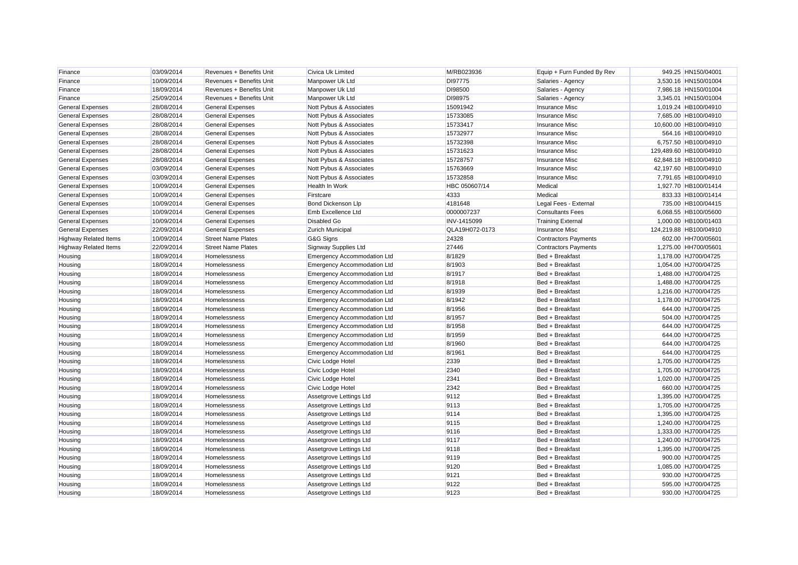| Finance                      | 03/09/2014 | Revenues + Benefits Unit  | Civica Uk Limited                  | M/RB023936     | Equip + Furn Funded By Rev  | 949.25 HN150/04001     |
|------------------------------|------------|---------------------------|------------------------------------|----------------|-----------------------------|------------------------|
| Finance                      | 10/09/2014 | Revenues + Benefits Unit  | Manpower Uk Ltd                    | DI97775        | Salaries - Agency           | 3,530.16 HN150/01004   |
| Finance                      | 18/09/2014 | Revenues + Benefits Unit  | Manpower Uk Ltd                    | DI98500        | Salaries - Agency           | 7,986.18 HN150/01004   |
| Finance                      | 25/09/2014 | Revenues + Benefits Unit  | Manpower Uk Ltd                    | DI98975        | Salaries - Agency           | 3,345.01 HN150/01004   |
| <b>General Expenses</b>      | 28/08/2014 | <b>General Expenses</b>   | Nott Pybus & Associates            | 15091942       | <b>Insurance Misc</b>       | 1,019.24 HB100/04910   |
| <b>General Expenses</b>      | 28/08/2014 | <b>General Expenses</b>   | Nott Pybus & Associates            | 15733085       | <b>Insurance Misc</b>       | 7,685.00 HB100/04910   |
| <b>General Expenses</b>      | 28/08/2014 | <b>General Expenses</b>   | Nott Pybus & Associates            | 15733417       | <b>Insurance Misc</b>       | 10,600.00 HB100/04910  |
| <b>General Expenses</b>      | 28/08/2014 | <b>General Expenses</b>   | Nott Pybus & Associates            | 15732977       | <b>Insurance Misc</b>       | 564.16 HB100/04910     |
| <b>General Expenses</b>      | 28/08/2014 | <b>General Expenses</b>   | Nott Pybus & Associates            | 15732398       | <b>Insurance Misc</b>       | 6,757.50 HB100/04910   |
| <b>General Expenses</b>      | 28/08/2014 | <b>General Expenses</b>   | Nott Pybus & Associates            | 15731623       | <b>Insurance Misc</b>       | 129,489.60 HB100/04910 |
| <b>General Expenses</b>      | 28/08/2014 | <b>General Expenses</b>   | Nott Pybus & Associates            | 15728757       | <b>Insurance Misc</b>       | 62,848.18 HB100/04910  |
| <b>General Expenses</b>      | 03/09/2014 | <b>General Expenses</b>   | Nott Pybus & Associates            | 15763669       | <b>Insurance Misc</b>       | 42,197.60 HB100/04910  |
| <b>General Expenses</b>      | 03/09/2014 | <b>General Expenses</b>   | Nott Pybus & Associates            | 15732858       | <b>Insurance Misc</b>       | 7,791.65 HB100/04910   |
| <b>General Expenses</b>      | 10/09/2014 | <b>General Expenses</b>   | Health In Work                     | HBC 050607/14  | Medical                     | 1,927.70 HB100/01414   |
| <b>General Expenses</b>      | 10/09/2014 | <b>General Expenses</b>   | Firstcare                          | 4333           | Medical                     | 833.33 HB100/01414     |
| <b>General Expenses</b>      | 10/09/2014 | <b>General Expenses</b>   | Bond Dickenson Llp                 | 4181648        | Legal Fees - External       | 735.00 HB100/04415     |
| <b>General Expenses</b>      | 10/09/2014 | <b>General Expenses</b>   | Emb Excellence Ltd                 | 0000007237     | <b>Consultants Fees</b>     | 6,068.55 HB100/05600   |
| <b>General Expenses</b>      | 10/09/2014 | <b>General Expenses</b>   | <b>Disabled Go</b>                 | INV-1415099    | <b>Training External</b>    | 1,000.00 HB100/01403   |
| <b>General Expenses</b>      | 22/09/2014 | <b>General Expenses</b>   | Zurich Municipal                   | QLA19H072-0173 | <b>Insurance Misc</b>       | 124,219.88 HB100/04910 |
| <b>Highway Related Items</b> | 10/09/2014 | <b>Street Name Plates</b> | G&G Signs                          | 24328          | <b>Contractors Payments</b> | 602.00 HH700/05601     |
| <b>Highway Related Items</b> | 22/09/2014 | <b>Street Name Plates</b> | Signway Supplies Ltd               | 27446          | <b>Contractors Payments</b> | 1,275.00 HH700/05601   |
| Housing                      | 18/09/2014 | Homelessness              | <b>Emergency Accommodation Ltd</b> | 8/1829         | Bed + Breakfast             | 1,178.00 HJ700/04725   |
| Housing                      | 18/09/2014 | Homelessness              | <b>Emergency Accommodation Ltd</b> | 8/1903         | Bed + Breakfast             | 1,054.00 HJ700/04725   |
| Housing                      | 18/09/2014 | Homelessness              | <b>Emergency Accommodation Ltd</b> | 8/1917         | Bed + Breakfast             | 1,488.00 HJ700/04725   |
| Housing                      | 18/09/2014 | Homelessness              | <b>Emergency Accommodation Ltd</b> | 8/1918         | Bed + Breakfast             | 1,488.00 HJ700/04725   |
| Housing                      | 18/09/2014 | Homelessness              | <b>Emergency Accommodation Ltd</b> | 8/1939         | Bed + Breakfast             | 1,216.00 HJ700/04725   |
| Housing                      | 18/09/2014 | Homelessness              | <b>Emergency Accommodation Ltd</b> | 8/1942         | Bed + Breakfast             | 1,178.00 HJ700/04725   |
| Housing                      | 18/09/2014 | Homelessness              | <b>Emergency Accommodation Ltd</b> | 8/1956         | Bed + Breakfast             | 644.00 HJ700/04725     |
| Housing                      | 18/09/2014 | Homelessness              | <b>Emergency Accommodation Ltd</b> | 8/1957         | Bed + Breakfast             | 504.00 HJ700/04725     |
| Housing                      | 18/09/2014 | Homelessness              | <b>Emergency Accommodation Ltd</b> | 8/1958         | Bed + Breakfast             | 644.00 HJ700/04725     |
| Housing                      | 18/09/2014 | Homelessness              | <b>Emergency Accommodation Ltd</b> | 8/1959         | Bed + Breakfast             | 644.00 HJ700/04725     |
| Housing                      | 18/09/2014 | Homelessness              | <b>Emergency Accommodation Ltd</b> | 8/1960         | Bed + Breakfast             | 644.00 HJ700/04725     |
| Housing                      | 18/09/2014 | Homelessness              | <b>Emergency Accommodation Ltd</b> | 8/1961         | Bed + Breakfast             | 644.00 HJ700/04725     |
| Housing                      | 18/09/2014 | Homelessness              | Civic Lodge Hotel                  | 2339           | Bed + Breakfast             | 1,705.00 HJ700/04725   |
| Housing                      | 18/09/2014 | Homelessness              | Civic Lodge Hotel                  | 2340           | Bed + Breakfast             | 1,705.00 HJ700/04725   |
| Housing                      | 18/09/2014 | Homelessness              | Civic Lodge Hotel                  | 2341           | Bed + Breakfast             | 1,020.00 HJ700/04725   |
| Housing                      | 18/09/2014 | Homelessness              | Civic Lodge Hotel                  | 2342           | Bed + Breakfast             | 660.00 HJ700/04725     |
| Housing                      | 18/09/2014 | Homelessness              | Assetgrove Lettings Ltd            | 9112           | Bed + Breakfast             | 1,395.00 HJ700/04725   |
| Housing                      | 18/09/2014 | Homelessness              | Assetgrove Lettings Ltd            | 9113           | Bed + Breakfast             | 1,705.00 HJ700/04725   |
| Housing                      | 18/09/2014 | Homelessness              | Assetgrove Lettings Ltd            | 9114           | Bed + Breakfast             | 1,395.00 HJ700/04725   |
| Housing                      | 18/09/2014 | Homelessness              | Assetgrove Lettings Ltd            | 9115           | Bed + Breakfast             | 1,240.00 HJ700/04725   |
| Housing                      | 18/09/2014 | Homelessness              | Assetgrove Lettings Ltd            | 9116           | Bed + Breakfast             | 1,333.00 HJ700/04725   |
| Housing                      | 18/09/2014 | Homelessness              | Assetgrove Lettings Ltd            | 9117           | Bed + Breakfast             | 1,240.00 HJ700/04725   |
| Housing                      | 18/09/2014 | Homelessness              | Assetgrove Lettings Ltd            | 9118           | Bed + Breakfast             | 1,395.00 HJ700/04725   |
| Housing                      | 18/09/2014 | Homelessness              | Assetgrove Lettings Ltd            | 9119           | Bed + Breakfast             | 900.00 HJ700/04725     |
| Housing                      | 18/09/2014 | Homelessness              | Assetgrove Lettings Ltd            | 9120           | Bed + Breakfast             | 1,085.00 HJ700/04725   |
| Housing                      | 18/09/2014 | Homelessness              | Assetgrove Lettings Ltd            | 9121           | Bed + Breakfast             | 930.00 HJ700/04725     |
| Housing                      | 18/09/2014 | Homelessness              | Assetgrove Lettings Ltd            | 9122           | Bed + Breakfast             | 595.00 HJ700/04725     |
| Housing                      | 18/09/2014 | Homelessness              | Assetgrove Lettings Ltd            | 9123           | Bed + Breakfast             | 930.00 HJ700/04725     |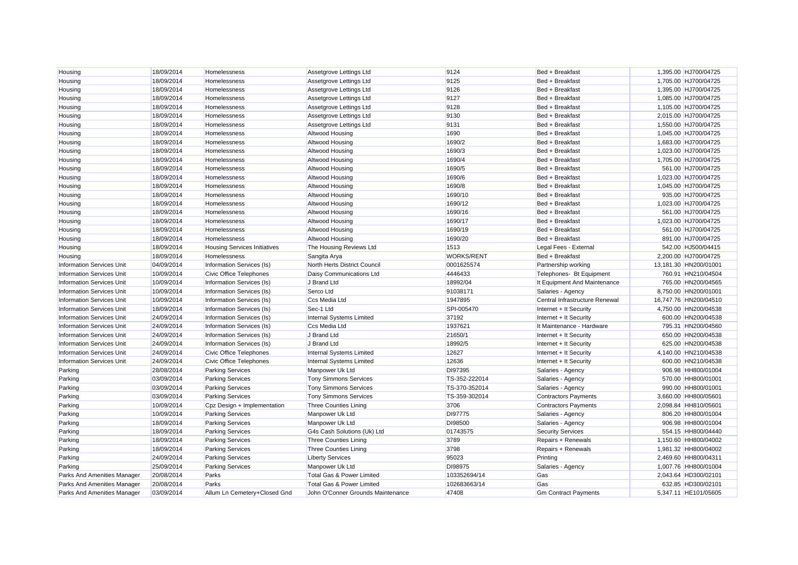| Housing                          | 18/09/2014 | Homelessness                        | Assetgrove Lettings Ltd           | 9124              | Bed + Breakfast                | 1,395.00 HJ700/04725  |
|----------------------------------|------------|-------------------------------------|-----------------------------------|-------------------|--------------------------------|-----------------------|
| Housing                          | 18/09/2014 | Homelessness                        | Assetgrove Lettings Ltd           | 9125              | Bed + Breakfast                | 1,705.00 HJ700/04725  |
| Housing                          | 18/09/2014 | Homelessness                        | Assetgrove Lettings Ltd           | 9126              | Bed + Breakfast                | 1,395.00 HJ700/04725  |
| Housing                          | 18/09/2014 | Homelessness                        | Assetgrove Lettings Ltd           | 9127              | Bed + Breakfast                | 1,085.00 HJ700/04725  |
| Housing                          | 18/09/2014 | Homelessness                        | Assetgrove Lettings Ltd           | 9128              | Bed + Breakfast                | 1,105.00 HJ700/04725  |
| Housing                          | 18/09/2014 | Homelessness                        | Assetgrove Lettings Ltd           | 9130              | Bed + Breakfast                | 2,015.00 HJ700/04725  |
| Housing                          | 18/09/2014 | Homelessness                        | Assetgrove Lettings Ltd           | 9131              | Bed + Breakfast                | 1,550.00 HJ700/04725  |
| Housing                          | 18/09/2014 | Homelessness                        | Altwood Housing                   | 1690              | Bed + Breakfast                | 1,045.00 HJ700/04725  |
| Housing                          | 18/09/2014 | Homelessness                        | Altwood Housing                   | 1690/2            | Bed + Breakfast                | 1,683.00 HJ700/04725  |
| Housing                          | 18/09/2014 | Homelessness                        | Altwood Housing                   | 1690/3            | Bed + Breakfast                | 1,023.00 HJ700/04725  |
| Housing                          | 18/09/2014 | Homelessness                        | Altwood Housing                   | 1690/4            | Bed + Breakfast                | 1,705.00 HJ700/04725  |
| Housing                          | 18/09/2014 | Homelessness                        | Altwood Housing                   | 1690/5            | Bed + Breakfast                | 561.00 HJ700/04725    |
| Housing                          | 18/09/2014 | Homelessness                        | Altwood Housing                   | 1690/6            | Bed + Breakfast                | 1,023.00 HJ700/04725  |
| Housing                          | 18/09/2014 | Homelessness                        | Altwood Housing                   | 1690/8            | Bed + Breakfast                | 1,045.00 HJ700/04725  |
| Housing                          | 18/09/2014 | Homelessness                        | Altwood Housing                   | 1690/10           | Bed + Breakfast                | 935.00 HJ700/04725    |
| Housing                          | 18/09/2014 | Homelessness                        | Altwood Housing                   | 1690/12           | Bed + Breakfast                | 1,023.00 HJ700/04725  |
| Housing                          | 18/09/2014 | Homelessness                        | <b>Altwood Housing</b>            | 1690/16           | Bed + Breakfast                | 561.00 HJ700/04725    |
| Housing                          | 18/09/2014 | Homelessness                        | <b>Altwood Housing</b>            | 1690/17           | Bed + Breakfast                | 1,023.00 HJ700/04725  |
| Housing                          | 18/09/2014 | Homelessness                        | Altwood Housing                   | 1690/19           | Bed + Breakfast                | 561.00 HJ700/04725    |
| Housing                          | 18/09/2014 | Homelessness                        | Altwood Housing                   | 1690/20           | Bed + Breakfast                | 891.00 HJ700/04725    |
| Housing                          | 18/09/2014 | <b>Housing Services Initiatives</b> | The Housing Reviews Ltd           | 1513              | Legal Fees - External          | 542.00 HJ500/04415    |
| Housing                          | 18/09/2014 | Homelessness                        | Sangita Arya                      | <b>WORKS/RENT</b> | Bed + Breakfast                | 2,200.00 HJ700/04725  |
| <b>Information Services Unit</b> | 04/09/2014 | Information Services (Is)           | North Herts District Council      | 0001625574        | Partnership working            | 13,181.30 HN200/01001 |
| <b>Information Services Unit</b> | 10/09/2014 | Civic Office Telephones             | Daisy Communications Ltd          | 4446433           | Telephones- Bt Equipment       | 760.91 HN210/04504    |
| <b>Information Services Unit</b> | 10/09/2014 | Information Services (Is)           | J Brand Ltd                       | 18992/04          | It Equipment And Maintenance   | 765.00 HN200/04565    |
| <b>Information Services Unit</b> | 10/09/2014 | Information Services (Is)           | Serco Ltd                         | 91038171          | Salaries - Agency              | 8,750.00 HN200/01001  |
| <b>Information Services Unit</b> | 10/09/2014 | Information Services (Is)           | <b>Ccs Media Ltd</b>              | 1947895           | Central Infrastructure Renewal | 16,747.76 HN200/04510 |
| <b>Information Services Unit</b> | 18/09/2014 | Information Services (Is)           | Sec-1 Ltd                         | SPI-005470        | Internet + It Security         | 4,750.00 HN200/04538  |
| <b>Information Services Unit</b> | 24/09/2014 | Information Services (Is)           | Internal Systems Limited          | 37192             | Internet + It Security         | 600.00 HN200/04538    |
| <b>Information Services Unit</b> | 24/09/2014 | Information Services (Is)           | <b>Ccs Media Ltd</b>              | 1937621           | It Maintenance - Hardware      | 795.31 HN200/04560    |
| <b>Information Services Unit</b> | 24/09/2014 | Information Services (Is)           | J Brand Ltd                       | 21650/1           | Internet + It Security         | 650.00 HN200/04538    |
| <b>Information Services Unit</b> | 24/09/2014 | Information Services (Is)           | J Brand Ltd                       | 18992/5           | Internet + It Security         | 625.00 HN200/04538    |
| <b>Information Services Unit</b> | 24/09/2014 | Civic Office Telephones             | Internal Systems Limited          | 12627             | Internet + It Security         | 4,140.00 HN210/04538  |
| <b>Information Services Unit</b> | 24/09/2014 | Civic Office Telephones             | Internal Systems Limited          | 12636             | Internet + It Security         | 600.00 HN210/04538    |
| Parking                          | 28/08/2014 | <b>Parking Services</b>             | Manpower Uk Ltd                   | DI97395           | Salaries - Agency              | 906.98 HH800/01004    |
| Parking                          | 03/09/2014 | <b>Parking Services</b>             | <b>Tony Simmons Services</b>      | TS-352-222014     | Salaries - Agency              | 570.00 HH800/01001    |
| Parking                          | 03/09/2014 | <b>Parking Services</b>             | <b>Tony Simmons Services</b>      | TS-370-352014     | Salaries - Agency              | 990.00 HH800/01001    |
| Parking                          | 03/09/2014 | <b>Parking Services</b>             | <b>Tony Simmons Services</b>      | TS-359-302014     | <b>Contractors Payments</b>    | 3,660.00 HH800/05601  |
| Parking                          | 10/09/2014 | Cpz Design + Implementation         | <b>Three Counties Lining</b>      | 3706              | <b>Contractors Payments</b>    | 2,098.84 HH810/05601  |
| Parking                          | 10/09/2014 | <b>Parking Services</b>             | Manpower Uk Ltd                   | DI97775           | Salaries - Agency              | 806.20 HH800/01004    |
| Parking                          | 18/09/2014 | <b>Parking Services</b>             | Manpower Uk Ltd                   | DI98500           | Salaries - Agency              | 906.98 HH800/01004    |
| Parking                          | 18/09/2014 | <b>Parking Services</b>             | G4s Cash Solutions (Uk) Ltd       | 01743575          | <b>Security Services</b>       | 554.15 HH800/04440    |
| Parking                          | 18/09/2014 | <b>Parking Services</b>             | <b>Three Counties Lining</b>      | 3789              | Repairs + Renewals             | 1,150.60 HH800/04002  |
| Parking                          | 18/09/2014 | <b>Parking Services</b>             | <b>Three Counties Lining</b>      | 3798              | Repairs + Renewals             | 1,981.32 HH800/04002  |
| Parking                          | 24/09/2014 | <b>Parking Services</b>             | <b>Liberty Services</b>           | 95023             | Printing                       | 2,469.60 HH800/04311  |
| Parking                          | 25/09/2014 | <b>Parking Services</b>             | Manpower Uk Ltd                   | DI98975           | Salaries - Agency              | 1,007.76 HH800/01004  |
| Parks And Amenities Manager      | 20/08/2014 | Parks                               | Total Gas & Power Limited         | 103352694/14      | Gas                            | 2,043.64 HD300/02101  |
| Parks And Amenities Manager      | 20/08/2014 | Parks                               | Total Gas & Power Limited         | 102683663/14      | Gas                            | 632.85 HD300/02101    |
| Parks And Amenities Manager      | 03/09/2014 | Allum Ln Cemeterv+Closed Gnd        | John O'Conner Grounds Maintenance | 47408             | <b>Gm Contract Payments</b>    | 5.347.11 HE101/05605  |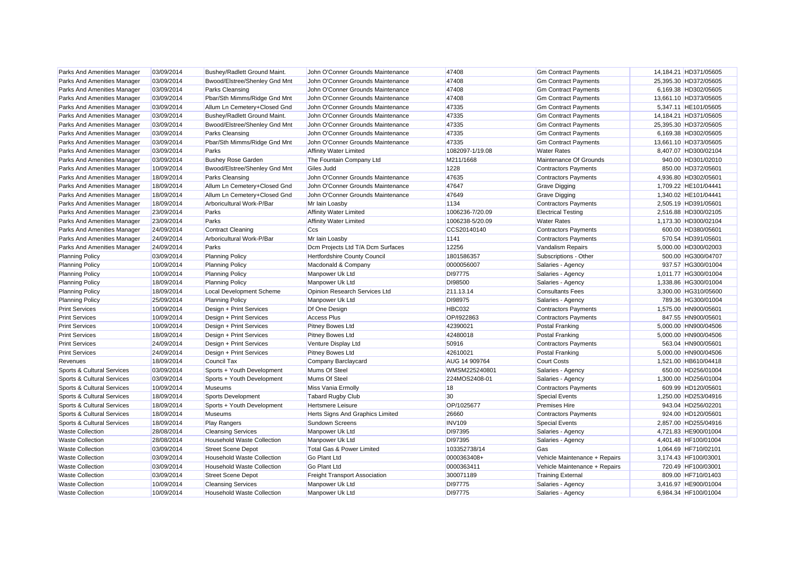| Parks And Amenities Manager        | 03/09/2014 | Bushey/Radlett Ground Maint.      | John O'Conner Grounds Maintenance    | 47408           | <b>Gm Contract Payments</b>   | 14,184.21 HD371/05605 |
|------------------------------------|------------|-----------------------------------|--------------------------------------|-----------------|-------------------------------|-----------------------|
| Parks And Amenities Manager        | 03/09/2014 | Bwood/Elstree/Shenley Gnd Mnt     | John O'Conner Grounds Maintenance    | 47408           | <b>Gm Contract Payments</b>   | 25,395.30 HD372/05605 |
| Parks And Amenities Manager        | 03/09/2014 | Parks Cleansing                   | John O'Conner Grounds Maintenance    | 47408           | <b>Gm Contract Payments</b>   | 6,169.38 HD302/05605  |
| Parks And Amenities Manager        | 03/09/2014 | Pbar/Sth Mimms/Ridge Gnd Mnt      | John O'Conner Grounds Maintenance    | 47408           | <b>Gm Contract Payments</b>   | 13,661.10 HD373/05605 |
| Parks And Amenities Manager        | 03/09/2014 | Allum Ln Cemetery+Closed Gnd      | John O'Conner Grounds Maintenance    | 47335           | <b>Gm Contract Payments</b>   | 5,347.11 HE101/05605  |
| Parks And Amenities Manager        | 03/09/2014 | Bushey/Radlett Ground Maint.      | John O'Conner Grounds Maintenance    | 47335           | <b>Gm Contract Payments</b>   | 14,184.21 HD371/05605 |
| Parks And Amenities Manager        | 03/09/2014 | Bwood/Elstree/Shenley Gnd Mnt     | John O'Conner Grounds Maintenance    | 47335           | <b>Gm Contract Payments</b>   | 25,395.30 HD372/05605 |
| Parks And Amenities Manager        | 03/09/2014 | Parks Cleansing                   | John O'Conner Grounds Maintenance    | 47335           | <b>Gm Contract Payments</b>   | 6,169.38 HD302/05605  |
| <b>Parks And Amenities Manager</b> | 03/09/2014 | Pbar/Sth Mimms/Ridge Gnd Mnt      | John O'Conner Grounds Maintenance    | 47335           | <b>Gm Contract Payments</b>   | 13,661.10 HD373/05605 |
| Parks And Amenities Manager        | 03/09/2014 | Parks                             | <b>Affinity Water Limited</b>        | 1082097-1/19.08 | <b>Water Rates</b>            | 8,407.07 HD300/02104  |
| Parks And Amenities Manager        | 03/09/2014 | <b>Bushey Rose Garden</b>         | The Fountain Company Ltd             | M211/1668       | Maintenance Of Grounds        | 940.00 HD301/02010    |
| <b>Parks And Amenities Manager</b> | 10/09/2014 | Bwood/Elstree/Shenley Gnd Mnt     | Giles Judd                           | 1228            | <b>Contractors Payments</b>   | 850.00 HD372/05601    |
| Parks And Amenities Manager        | 18/09/2014 | <b>Parks Cleansing</b>            | John O'Conner Grounds Maintenance    | 47635           | <b>Contractors Payments</b>   | 4,936.80 HD302/05601  |
| Parks And Amenities Manager        | 18/09/2014 | Allum Ln Cemetery+Closed Gnd      | John O'Conner Grounds Maintenance    | 47647           | <b>Grave Digging</b>          | 1,709.22 HE101/04441  |
| Parks And Amenities Manager        | 18/09/2014 | Allum Ln Cemetery+Closed Gnd      | John O'Conner Grounds Maintenance    | 47649           | <b>Grave Digging</b>          | 1,340.02 HE101/04441  |
| Parks And Amenities Manager        | 18/09/2014 | Arboricultural Work-P/Bar         | Mr Iain Loasby                       | 1134            | <b>Contractors Payments</b>   | 2,505.19 HD391/05601  |
| Parks And Amenities Manager        | 23/09/2014 | Parks                             | <b>Affinity Water Limited</b>        | 1006236-7/20.09 | <b>Electrical Testing</b>     | 2,516.88 HD300/02105  |
| Parks And Amenities Manager        | 23/09/2014 | Parks                             | <b>Affinity Water Limited</b>        | 1006238-5/20.09 | <b>Water Rates</b>            | 1,173.30 HD300/02104  |
| Parks And Amenities Manager        | 24/09/2014 | <b>Contract Cleaning</b>          | Ccs                                  | CCS20140140     | <b>Contractors Payments</b>   | 600.00 HD380/05601    |
| Parks And Amenities Manager        | 24/09/2014 | Arboricultural Work-P/Bar         | Mr Iain Loasby                       | 1141            | <b>Contractors Payments</b>   | 570.54 HD391/05601    |
| Parks And Amenities Manager        | 24/09/2014 | Parks                             | Dcm Projects Ltd T/A Dcm Surfaces    | 12256           | <b>Vandalism Repairs</b>      | 5,000.00 HD300/02003  |
| <b>Planning Policy</b>             | 03/09/2014 | <b>Planning Policy</b>            | Hertfordshire County Council         | 1801586357      | Subscriptions - Other         | 500.00 HG300/04707    |
| <b>Planning Policy</b>             | 10/09/2014 | <b>Planning Policy</b>            | Macdonald & Company                  | 0000056007      | Salaries - Agency             | 937.57 HG300/01004    |
| <b>Planning Policy</b>             | 10/09/2014 | <b>Planning Policy</b>            | Manpower Uk Ltd                      | DI97775         | Salaries - Agency             | 1,011.77 HG300/01004  |
| <b>Planning Policy</b>             | 18/09/2014 | <b>Planning Policy</b>            | Manpower Uk Ltd                      | DI98500         | Salaries - Agency             | 1,338.86 HG300/01004  |
| <b>Planning Policy</b>             | 18/09/2014 | Local Development Scheme          | Opinion Research Services Ltd        | 211.13.14       | <b>Consultants Fees</b>       | 3,300.00 HG310/05600  |
| <b>Planning Policy</b>             | 25/09/2014 | <b>Planning Policy</b>            | Manpower Uk Ltd                      | DI98975         | Salaries - Agency             | 789.36 HG300/01004    |
| <b>Print Services</b>              | 10/09/2014 | Design + Print Services           | Df One Design                        | HBC032          | <b>Contractors Payments</b>   | 1,575.00 HN900/05601  |
| <b>Print Services</b>              | 10/09/2014 | Design + Print Services           | <b>Access Plus</b>                   | OP/1922863      | <b>Contractors Payments</b>   | 847.55 HN900/05601    |
| <b>Print Services</b>              | 10/09/2014 | Design + Print Services           | <b>Pitney Bowes Ltd</b>              | 42390021        | <b>Postal Franking</b>        | 5,000.00 HN900/04506  |
| <b>Print Services</b>              | 18/09/2014 | Design + Print Services           | <b>Pitney Bowes Ltd</b>              | 42480018        | <b>Postal Franking</b>        | 5,000.00 HN900/04506  |
| <b>Print Services</b>              | 24/09/2014 | Design + Print Services           | Venture Display Ltd                  | 50916           | <b>Contractors Payments</b>   | 563.04 HN900/05601    |
| <b>Print Services</b>              | 24/09/2014 | Design + Print Services           | <b>Pitney Bowes Ltd</b>              | 42610021        | <b>Postal Franking</b>        | 5,000.00 HN900/04506  |
| Revenues                           | 18/09/2014 | Council Tax                       | Company Barclaycard                  | AUG 14 909764   | <b>Court Costs</b>            | 1,521.00 HB610/04418  |
| Sports & Cultural Services         | 03/09/2014 | Sports + Youth Development        | Mums Of Steel                        | WMSM225240801   | Salaries - Agency             | 650.00 HD256/01004    |
| Sports & Cultural Services         | 03/09/2014 | Sports + Youth Development        | Mums Of Steel                        | 224MOS2408-01   | Salaries - Agency             | 1,300.00 HD256/01004  |
| Sports & Cultural Services         | 10/09/2014 | <b>Museums</b>                    | Miss Vania Ermolly                   | 18              | <b>Contractors Payments</b>   | 609.99 HD120/05601    |
| Sports & Cultural Services         | 18/09/2014 | <b>Sports Development</b>         | <b>Tabard Rugby Club</b>             | 30              | <b>Special Events</b>         | 1,250.00 HD253/04916  |
| Sports & Cultural Services         | 18/09/2014 | Sports + Youth Development        | <b>Hertsmere Leisure</b>             | OP/1025677      | <b>Premises Hire</b>          | 943.04 HD256/02201    |
| Sports & Cultural Services         | 18/09/2014 | <b>Museums</b>                    | Herts Signs And Graphics Limited     | 26660           | <b>Contractors Payments</b>   | 924.00 HD120/05601    |
| Sports & Cultural Services         | 18/09/2014 | Play Rangers                      | Sundown Screens                      | <b>INV109</b>   | <b>Special Events</b>         | 2,857.00 HD255/04916  |
| <b>Waste Collection</b>            | 28/08/2014 | <b>Cleansing Services</b>         | Manpower Uk Ltd                      | DI97395         | Salaries - Agency             | 4,721.83 HE900/01004  |
| <b>Waste Collection</b>            | 28/08/2014 | <b>Household Waste Collection</b> | Manpower Uk Ltd                      | DI97395         | Salaries - Agency             | 4,401.48 HF100/01004  |
| <b>Waste Collection</b>            | 03/09/2014 | <b>Street Scene Depot</b>         | Total Gas & Power Limited            | 103352738/14    | Gas                           | 1,064.69 HF710/02101  |
| <b>Waste Collection</b>            | 03/09/2014 | <b>Household Waste Collection</b> | Go Plant Ltd                         | 0000363408+     | Vehicle Maintenance + Repairs | 3,174.43 HF100/03001  |
| <b>Waste Collection</b>            | 03/09/2014 | <b>Household Waste Collection</b> | <b>Go Plant Ltd</b>                  | 0000363411      | Vehicle Maintenance + Repairs | 720.49 HF100/03001    |
| <b>Waste Collection</b>            | 03/09/2014 | <b>Street Scene Depot</b>         | <b>Freight Transport Association</b> | 300071189       | <b>Training External</b>      | 809.00 HF710/01403    |
| <b>Waste Collection</b>            | 10/09/2014 | <b>Cleansing Services</b>         | Manpower Uk Ltd                      | DI97775         | Salaries - Agency             | 3,416.97 HE900/01004  |
| <b>Waste Collection</b>            | 10/09/2014 | <b>Household Waste Collection</b> | Manpower Uk Ltd                      | DI97775         | Salaries - Agency             | 6.984.34 HF100/01004  |